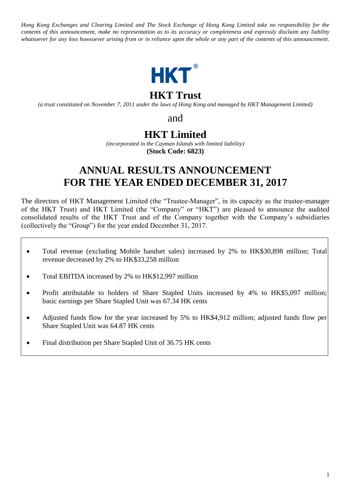*Hong Kong Exchanges and Clearing Limited and The Stock Exchange of Hong Kong Limited take no responsibility for the contents of this announcement, make no representation as to its accuracy or completeness and expressly disclaim any liability whatsoever for any loss howsoever arising from or in reliance upon the whole or any part of the contents of this announcement.*



## **HKT Trust**

*(a trust constituted on November 7, 2011 under the laws of Hong Kong and managed by HKT Management Limited)*

and

## **HKT Limited**

*(incorporated in the Cayman Islands with limited liability)* **(Stock Code: 6823)**

# **ANNUAL RESULTS ANNOUNCEMENT FOR THE YEAR ENDED DECEMBER 31, 2017**

The directors of HKT Management Limited (the "Trustee-Manager", in its capacity as the trustee-manager of the HKT Trust) and HKT Limited (the "Company" or "HKT") are pleased to announce the audited consolidated results of the HKT Trust and of the Company together with the Company's subsidiaries (collectively the "Group") for the year ended December 31, 2017.

- Total revenue (excluding Mobile handset sales) increased by 2% to HK\$30,898 million; Total revenue decreased by 2% to HK\$33,258 million
- Total EBITDA increased by 2% to HK\$12,997 million
- Profit attributable to holders of Share Stapled Units increased by 4% to HK\$5,097 million; basic earnings per Share Stapled Unit was 67.34 HK cents
- Adjusted funds flow for the year increased by 5% to HK\$4,912 million; adjusted funds flow per Share Stapled Unit was 64.87 HK cents
- Final distribution per Share Stapled Unit of 36.75 HK cents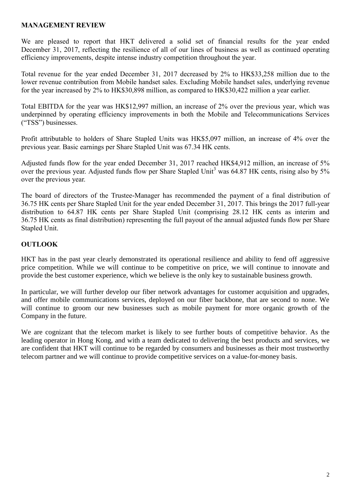#### **MANAGEMENT REVIEW**

We are pleased to report that HKT delivered a solid set of financial results for the year ended December 31, 2017, reflecting the resilience of all of our lines of business as well as continued operating efficiency improvements, despite intense industry competition throughout the year.

Total revenue for the year ended December 31, 2017 decreased by 2% to HK\$33,258 million due to the lower revenue contribution from Mobile handset sales. Excluding Mobile handset sales, underlying revenue for the year increased by 2% to HK\$30,898 million, as compared to HK\$30,422 million a year earlier.

Total EBITDA for the year was HK\$12,997 million, an increase of 2% over the previous year, which was underpinned by operating efficiency improvements in both the Mobile and Telecommunications Services ("TSS") businesses.

Profit attributable to holders of Share Stapled Units was HK\$5,097 million, an increase of 4% over the previous year. Basic earnings per Share Stapled Unit was 67.34 HK cents.

Adjusted funds flow for the year ended December 31, 2017 reached HK\$4,912 million, an increase of 5% over the previous year. Adjusted funds flow per Share Stapled Unit<sup>3</sup> was 64.87 HK cents, rising also by 5% over the previous year.

The board of directors of the Trustee-Manager has recommended the payment of a final distribution of 36.75 HK cents per Share Stapled Unit for the year ended December 31, 2017. This brings the 2017 full-year distribution to 64.87 HK cents per Share Stapled Unit (comprising 28.12 HK cents as interim and 36.75 HK cents as final distribution) representing the full payout of the annual adjusted funds flow per Share Stapled Unit.

#### **OUTLOOK**

HKT has in the past year clearly demonstrated its operational resilience and ability to fend off aggressive price competition. While we will continue to be competitive on price, we will continue to innovate and provide the best customer experience, which we believe is the only key to sustainable business growth.

In particular, we will further develop our fiber network advantages for customer acquisition and upgrades, and offer mobile communications services, deployed on our fiber backbone, that are second to none. We will continue to groom our new businesses such as mobile payment for more organic growth of the Company in the future.

We are cognizant that the telecom market is likely to see further bouts of competitive behavior. As the leading operator in Hong Kong, and with a team dedicated to delivering the best products and services, we are confident that HKT will continue to be regarded by consumers and businesses as their most trustworthy telecom partner and we will continue to provide competitive services on a value-for-money basis.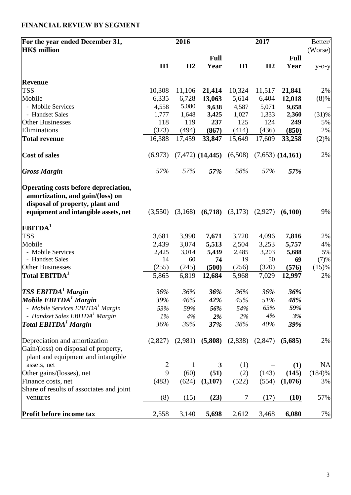| For the year ended December 31,                                                                                                                     |                | 2016    |                                |         | 2017    |                      | Better/   |
|-----------------------------------------------------------------------------------------------------------------------------------------------------|----------------|---------|--------------------------------|---------|---------|----------------------|-----------|
| <b>HK\$</b> million                                                                                                                                 |                |         |                                |         |         |                      | (Worse)   |
|                                                                                                                                                     |                |         | <b>Full</b>                    |         |         | <b>Full</b>          |           |
|                                                                                                                                                     | H1             | H2      | Year                           | H1      | H2      | Year                 | $y$ -o-y  |
| <b>Revenue</b>                                                                                                                                      |                |         |                                |         |         |                      |           |
| <b>TSS</b>                                                                                                                                          | 10,308         | 11,106  | 21,414                         | 10,324  | 11,517  | 21,841               | 2%        |
| Mobile                                                                                                                                              | 6,335          | 6,728   | 13,063                         | 5,614   | 6,404   | 12,018               | (8)%      |
| - Mobile Services                                                                                                                                   | 4,558          | 5,080   | 9,638                          | 4,587   | 5,071   | 9,658                |           |
| - Handset Sales                                                                                                                                     | 1,777          | 1,648   | 3,425                          | 1,027   | 1,333   | 2,360                | (31)%     |
| <b>Other Businesses</b>                                                                                                                             | 118            | 119     | 237                            | 125     | 124     | 249                  | 5%        |
| Eliminations                                                                                                                                        | (373)          | (494)   | (867)                          | (414)   | (436)   | (850)                | 2%        |
| <b>Total revenue</b>                                                                                                                                | 16,388         | 17,459  | 33,847                         | 15,649  | 17,609  | 33,258               | (2)%      |
| <b>Cost of sales</b>                                                                                                                                | (6,973)        |         | $(7,472)$ $(14,445)$ $(6,508)$ |         |         | $(7,653)$ $(14,161)$ | 2%        |
| <b>Gross Margin</b>                                                                                                                                 | 57%            | 57%     | 57%                            | 58%     | 57%     | 57%                  |           |
| Operating costs before depreciation,<br>amortization, and gain/(loss) on<br>disposal of property, plant and<br>equipment and intangible assets, net | (3,550)        | (3,168) | (6,718)                        | (3,173) | (2,927) | (6,100)              | 9%        |
| $\mathbf{EBITDA}^{1}$                                                                                                                               |                |         |                                |         |         |                      |           |
| <b>TSS</b>                                                                                                                                          | 3,681          | 3,990   | 7,671                          | 3,720   | 4,096   | 7,816                | 2%        |
| Mobile                                                                                                                                              | 2,439          | 3,074   | 5,513                          | 2,504   | 3,253   | 5,757                | 4%        |
| - Mobile Services                                                                                                                                   | 2,425          | 3,014   | 5,439                          | 2,485   | 3,203   | 5,688                | 5%        |
| - Handset Sales                                                                                                                                     | 14             | 60      | 74                             | 19      | 50      | 69                   | (7)%      |
| <b>Other Businesses</b>                                                                                                                             | (255)          | (245)   | (500)                          | (256)   | (320)   | (576)                | (15)%     |
| Total EBITDA <sup>1</sup>                                                                                                                           | 5,865          | 6,819   | 12,684                         | 5,968   | 7,029   | 12,997               | 2%        |
| $TSS$ EBITDA <sup>1</sup> Margin                                                                                                                    | 36%            | 36%     | 36%                            | 36%     | 36%     | 36%                  |           |
| Mobile EBITDA <sup>1</sup> Margin                                                                                                                   | 39%            | $46\%$  | 42%                            | 45%     | 51%     | 48%                  |           |
| - Mobile Services EBITDA <sup>1</sup> Margin                                                                                                        | 53%            | 59%     | 56%                            | 54%     | 63%     | 59%                  |           |
| - Handset Sales EBITDA <sup>1</sup> Margin                                                                                                          | $1\%$          | 4%      | 2%                             | 2%      | 4%      | 3%                   |           |
| <b>Total EBITDA<sup>1</sup></b> Margin                                                                                                              | 36%            | 39%     | 37%                            | 38%     | 40%     | 39%                  |           |
| Depreciation and amortization<br>Gain/(loss) on disposal of property,<br>plant and equipment and intangible                                         | (2,827)        | (2,981) | (5,808)                        | (2,838) | (2,847) | (5,685)              | 2%        |
| assets, net                                                                                                                                         | $\overline{2}$ | 1       | 3                              | (1)     |         | (1)                  | <b>NA</b> |
| Other gains/(losses), net                                                                                                                           | 9              | (60)    | (51)                           | (2)     | (143)   | (145)                | (184)%    |
| Finance costs, net                                                                                                                                  | (483)          | (624)   | (1,107)                        | (522)   | (554)   | (1,076)              | 3%        |
| Share of results of associates and joint                                                                                                            |                |         |                                |         |         |                      |           |
| ventures                                                                                                                                            | (8)            | (15)    | (23)                           | 7       | (17)    | (10)                 | 57%       |
| Profit before income tax                                                                                                                            | 2,558          | 3,140   | 5,698                          | 2,612   | 3,468   | 6,080                | 7%        |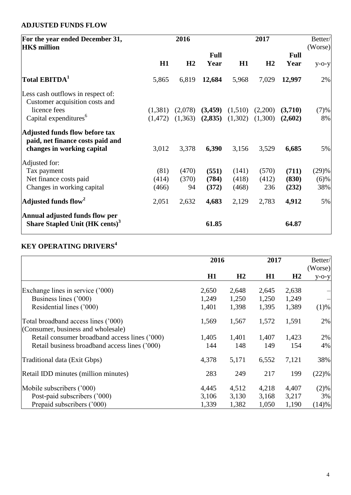## **ADJUSTED FUNDS FLOW**

| For the year ended December 31,<br><b>HK\$</b> million                       | 2016     |         |             | 2017    |         |             | Better/<br>(Worse) |  |
|------------------------------------------------------------------------------|----------|---------|-------------|---------|---------|-------------|--------------------|--|
|                                                                              |          |         | <b>Full</b> |         |         | <b>Full</b> |                    |  |
|                                                                              | H1       | H2      | Year        | H1      | H2      | Year        | $y$ -o- $y$        |  |
| Total EBITDA <sup>1</sup>                                                    | 5,865    | 6,819   | 12,684      | 5,968   | 7,029   | 12,997      | 2%                 |  |
| Less cash outflows in respect of:<br>Customer acquisition costs and          |          |         |             |         |         |             |                    |  |
| licence fees                                                                 | (1,381)  | (2,078) | (3,459)     | (1,510) | (2,200) | (3,710)     | (7)%               |  |
| Capital expenditures <sup>6</sup>                                            | (1, 472) | (1,363) | (2,835)     | (1,302) | (1,300) | (2,602)     | 8%                 |  |
| <b>Adjusted funds flow before tax</b><br>paid, net finance costs paid and    |          |         |             |         |         |             |                    |  |
| changes in working capital                                                   | 3,012    | 3,378   | 6,390       | 3,156   | 3,529   | 6,685       | 5%                 |  |
| Adjusted for:                                                                |          |         |             |         |         |             |                    |  |
| Tax payment                                                                  | (81)     | (470)   | (551)       | (141)   | (570)   | (711)       | (29)%              |  |
| Net finance costs paid                                                       | (414)    | (370)   | (784)       | (418)   | (412)   | (830)       | (6)%               |  |
| Changes in working capital                                                   | (466)    | 94      | (372)       | (468)   | 236     | (232)       | 38%                |  |
| Adjusted funds flow <sup>2</sup>                                             | 2,051    | 2,632   | 4,683       | 2,129   | 2,783   | 4,912       | 5%                 |  |
| Annual adjusted funds flow per<br>Share Stapled Unit (HK cents) <sup>3</sup> |          |         | 61.85       |         |         | 64.87       |                    |  |

## **KEY OPERATING DRIVERS<sup>4</sup>**

|                                               | 2016  |                | 2017  |       | Better/<br>(Worse) |  |
|-----------------------------------------------|-------|----------------|-------|-------|--------------------|--|
|                                               | H1    | H <sub>2</sub> | H1    | H2    | $y$ -O- $y$        |  |
| Exchange lines in service ('000)              | 2,650 | 2,648          | 2,645 | 2,638 |                    |  |
| Business lines ('000)                         | 1,249 | 1,250          | 1,250 | 1,249 |                    |  |
| Residential lines ('000)                      | 1,401 | 1,398          | 1,395 | 1,389 | (1)%               |  |
| Total broadband access lines ('000)           | 1,569 | 1,567          | 1,572 | 1,591 | 2%                 |  |
| (Consumer, business and wholesale)            |       |                |       |       |                    |  |
| Retail consumer broadband access lines ('000) | 1,405 | 1,401          | 1,407 | 1,423 | 2%                 |  |
| Retail business broadband access lines ('000) | 144   | 148            | 149   | 154   | 4%                 |  |
| Traditional data (Exit Gbps)                  | 4,378 | 5,171          | 6,552 | 7,121 | 38%                |  |
| Retail IDD minutes (million minutes)          | 283   | 249            | 217   | 199   | (22)%              |  |
| Mobile subscribers ('000)                     | 4,445 | 4,512          | 4,218 | 4,407 | (2)%               |  |
| Post-paid subscribers ('000)                  | 3,106 | 3,130          | 3,168 | 3,217 | 3%                 |  |
| Prepaid subscribers ('000)                    | 1,339 | 1,382          | 1,050 | 1,190 | (14)%              |  |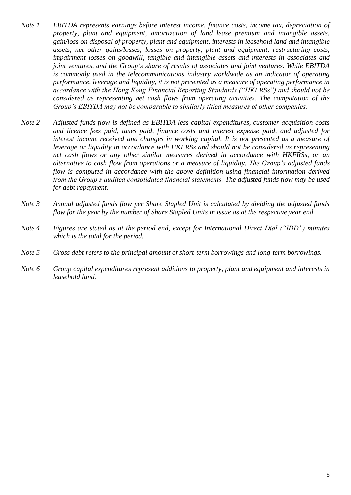- *Note 1 EBITDA represents earnings before interest income, finance costs, income tax, depreciation of property, plant and equipment, amortization of land lease premium and intangible assets, gain/loss on disposal of property, plant and equipment, interests in leasehold land and intangible assets, net other gains/losses, losses on property, plant and equipment, restructuring costs, impairment losses on goodwill, tangible and intangible assets and interests in associates and joint ventures, and the Group's share of results of associates and joint ventures. While EBITDA is commonly used in the telecommunications industry worldwide as an indicator of operating performance, leverage and liquidity, it is not presented as a measure of operating performance in accordance with the Hong Kong Financial Reporting Standards ("HKFRSs") and should not be considered as representing net cash flows from operating activities. The computation of the Group's EBITDA may not be comparable to similarly titled measures of other companies.*
- *Note 2 Adjusted funds flow is defined as EBITDA less capital expenditures, customer acquisition costs and licence fees paid, taxes paid, finance costs and interest expense paid, and adjusted for interest income received and changes in working capital. It is not presented as a measure of leverage or liquidity in accordance with HKFRSs and should not be considered as representing net cash flows or any other similar measures derived in accordance with HKFRSs, or an alternative to cash flow from operations or a measure of liquidity. The Group's adjusted funds flow is computed in accordance with the above definition using financial information derived from the Group's audited consolidated financial statements. The adjusted funds flow may be used for debt repayment.*
- *Note 3 Annual adjusted funds flow per Share Stapled Unit is calculated by dividing the adjusted funds flow for the year by the number of Share Stapled Units in issue as at the respective year end.*
- *Note 4 Figures are stated as at the period end, except for International Direct Dial ("IDD") minutes which is the total for the period.*
- *Note 5 Gross debt refers to the principal amount of short-term borrowings and long-term borrowings.*
- *Note 6 Group capital expenditures represent additions to property, plant and equipment and interests in leasehold land.*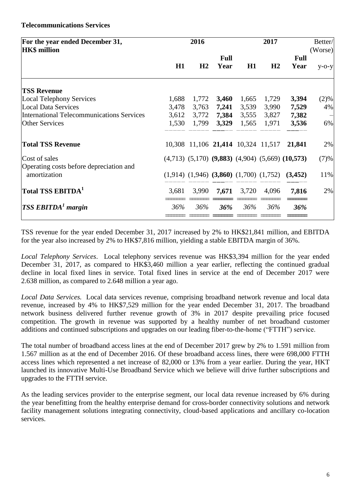#### **Telecommunications Services**

| For the year ended December 31,<br><b>HK\$</b> million  |       | 2016                               |                     |       | 2017           |                                                              | Better/<br>(Worse) |
|---------------------------------------------------------|-------|------------------------------------|---------------------|-------|----------------|--------------------------------------------------------------|--------------------|
|                                                         | H1    | H <sub>2</sub>                     | <b>Full</b><br>Year | H1    | H <sub>2</sub> | <b>Full</b><br>Year                                          | $y$ -o-y           |
| <b>TSS Revenue</b>                                      |       |                                    |                     |       |                |                                                              |                    |
| <b>Local Telephony Services</b>                         | 1,688 | 1,772                              | 3,460               | 1,665 | 1,729          | 3,394                                                        | (2)%               |
| <b>Local Data Services</b>                              | 3,478 | 3,763                              | 7,241               | 3,539 | 3,990          | 7,529                                                        | 4%                 |
| International Telecommunications Services               | 3,612 | 3,772                              | 7,384               | 3,555 | 3,827          | 7,382                                                        |                    |
| <b>Other Services</b>                                   | 1,530 | 1,799                              | 3,329               | 1,565 | 1,971          | 3,536                                                        | 6%                 |
| <b>Total TSS Revenue</b>                                |       | 10,308 11,106 21,414 10,324 11,517 |                     |       |                | 21,841                                                       | 2%                 |
| Cost of sales                                           |       |                                    |                     |       |                | $(4,713)$ $(5,170)$ $(9,883)$ $(4,904)$ $(5,669)$ $(10,573)$ | (7)%               |
| Operating costs before depreciation and<br>amortization |       |                                    |                     |       |                | $(1,914)$ $(1,946)$ $(3,860)$ $(1,700)$ $(1,752)$ $(3,452)$  | 11%                |
| Total TSS $\mathrm{EBITDA}^\mathbb{1}$                  | 3,681 | 3,990                              | 7,671               | 3,720 | 4,096          | 7,816                                                        | 2%                 |
| $TSS$ EBITDA <sup>1</sup> margin                        | 36%   | 36%                                | 36%                 | 36%   | 36%            | 36%                                                          |                    |
|                                                         |       |                                    |                     |       |                |                                                              |                    |

TSS revenue for the year ended December 31, 2017 increased by 2% to HK\$21,841 million, and EBITDA for the year also increased by 2% to HK\$7,816 million, yielding a stable EBITDA margin of 36%.

*Local Telephony Services*. Local telephony services revenue was HK\$3,394 million for the year ended December 31, 2017, as compared to HK\$3,460 million a year earlier, reflecting the continued gradual decline in local fixed lines in service. Total fixed lines in service at the end of December 2017 were 2.638 million, as compared to 2.648 million a year ago.

*Local Data Services.* Local data services revenue, comprising broadband network revenue and local data revenue, increased by 4% to HK\$7,529 million for the year ended December 31, 2017. The broadband network business delivered further revenue growth of 3% in 2017 despite prevailing price focused competition. The growth in revenue was supported by a healthy number of net broadband customer additions and continued subscriptions and upgrades on our leading fiber-to-the-home ("FTTH") service.

The total number of broadband access lines at the end of December 2017 grew by 2% to 1.591 million from 1.567 million as at the end of December 2016. Of these broadband access lines, there were 698,000 FTTH access lines which represented a net increase of 82,000 or 13% from a year earlier. During the year, HKT launched its innovative Multi-Use Broadband Service which we believe will drive further subscriptions and upgrades to the FTTH service.

As the leading services provider to the enterprise segment, our local data revenue increased by 6% during the year benefitting from the healthy enterprise demand for cross-border connectivity solutions and network facility management solutions integrating connectivity, cloud-based applications and ancillary co-location services.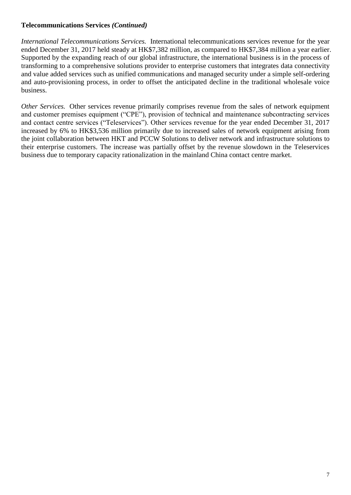#### **Telecommunications Services** *(Continued)*

*International Telecommunications Services.* International telecommunications services revenue for the year ended December 31, 2017 held steady at HK\$7,382 million, as compared to HK\$7,384 million a year earlier. Supported by the expanding reach of our global infrastructure, the international business is in the process of transforming to a comprehensive solutions provider to enterprise customers that integrates data connectivity and value added services such as unified communications and managed security under a simple self-ordering and auto-provisioning process, in order to offset the anticipated decline in the traditional wholesale voice business.

*Other Services.* Other services revenue primarily comprises revenue from the sales of network equipment and customer premises equipment ("CPE"), provision of technical and maintenance subcontracting services and contact centre services ("Teleservices"). Other services revenue for the year ended December 31, 2017 increased by 6% to HK\$3,536 million primarily due to increased sales of network equipment arising from the joint collaboration between HKT and PCCW Solutions to deliver network and infrastructure solutions to their enterprise customers. The increase was partially offset by the revenue slowdown in the Teleservices business due to temporary capacity rationalization in the mainland China contact centre market.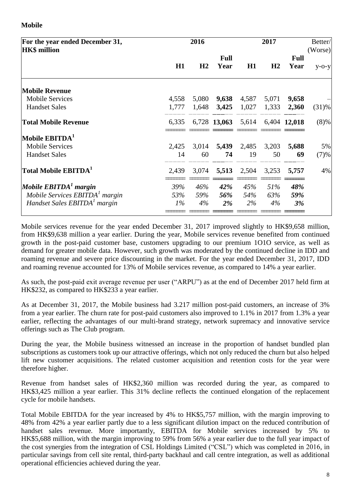#### **Mobile**

| For the year ended December 31,<br><b>HK\$</b> million |       | 2016   |                                 |                   | 2017  |                     | Better/<br>(Worse) |
|--------------------------------------------------------|-------|--------|---------------------------------|-------------------|-------|---------------------|--------------------|
|                                                        | H1    | H2     | <b>Full</b><br>Year             | H1                | H2    | <b>Full</b><br>Year | $y$ -o-y           |
|                                                        |       |        |                                 |                   |       |                     |                    |
| <b>Mobile Revenue</b>                                  |       |        |                                 |                   |       |                     |                    |
| <b>Mobile Services</b>                                 | 4,558 | 5,080  | 9,638                           | 4,587             | 5,071 | 9,658               |                    |
| <b>Handset Sales</b>                                   | 1,777 | 1,648  | 3,425                           | 1,027             | 1,333 | 2,360               | (31)%              |
| <b>Total Mobile Revenue</b>                            | 6,335 |        | 6,728 13,063 5,614 6,404 12,018 |                   |       |                     | $(8)\%$            |
| Mobile $EBITDA1$                                       |       |        |                                 |                   |       |                     |                    |
| <b>Mobile Services</b>                                 | 2,425 | 3,014  |                                 | 5,439 2,485 3,203 |       | 5,688               | 5%                 |
| <b>Handset Sales</b>                                   | 14    | 60     | 74                              | 19                | 50    | 69                  | (7)%               |
| Total Mobile EBITDA <sup>1</sup>                       | 2,439 | 3,074  | 5,513                           | 2,504             | 3,253 | 5,757               | 4%                 |
| Mobile $EBITDAT$ margin                                | 39%   | $46\%$ | 42%                             | 45%               | 51%   | 48%                 |                    |
| Mobile Services EBITDA <sup>1</sup> margin             | 53%   | 59%    | 56%                             | 54%               | 63%   | 59%                 |                    |
| Handset Sales EBITDA <sup>1</sup> margin               | $1\%$ | 4%     | $2\%$                           | $2\%$             | $4\%$ | 3%                  |                    |
|                                                        |       |        |                                 |                   |       |                     |                    |

Mobile services revenue for the year ended December 31, 2017 improved slightly to HK\$9,658 million, from HK\$9,638 million a year earlier. During the year, Mobile services revenue benefited from continued growth in the post-paid customer base, customers upgrading to our premium 1O1O service, as well as demand for greater mobile data. However, such growth was moderated by the continued decline in IDD and roaming revenue and severe price discounting in the market. For the year ended December 31, 2017, IDD and roaming revenue accounted for 13% of Mobile services revenue, as compared to 14% a year earlier.

As such, the post-paid exit average revenue per user ("ARPU") as at the end of December 2017 held firm at HK\$232, as compared to HK\$233 a year earlier.

As at December 31, 2017, the Mobile business had 3.217 million post-paid customers, an increase of 3% from a year earlier. The churn rate for post-paid customers also improved to 1.1% in 2017 from 1.3% a year earlier, reflecting the advantages of our multi-brand strategy, network supremacy and innovative service offerings such as The Club program.

During the year, the Mobile business witnessed an increase in the proportion of handset bundled plan subscriptions as customers took up our attractive offerings, which not only reduced the churn but also helped lift new customer acquisitions. The related customer acquisition and retention costs for the year were therefore higher.

Revenue from handset sales of HK\$2,360 million was recorded during the year, as compared to HK\$3,425 million a year earlier. This 31% decline reflects the continued elongation of the replacement cycle for mobile handsets.

Total Mobile EBITDA for the year increased by 4% to HK\$5,757 million, with the margin improving to 48% from 42% a year earlier partly due to a less significant dilution impact on the reduced contribution of handset sales revenue. More importantly, EBITDA for Mobile services increased by 5% to HK\$5,688 million, with the margin improving to 59% from 56% a year earlier due to the full year impact of the cost synergies from the integration of CSL Holdings Limited ("CSL") which was completed in 2016, in particular savings from cell site rental, third-party backhaul and call centre integration, as well as additional operational efficiencies achieved during the year.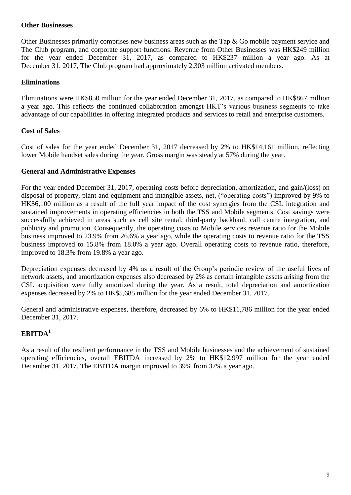#### **Other Businesses**

Other Businesses primarily comprises new business areas such as the Tap & Go mobile payment service and The Club program, and corporate support functions. Revenue from Other Businesses was HK\$249 million for the year ended December 31, 2017, as compared to HK\$237 million a year ago. As at December 31, 2017, The Club program had approximately 2.303 million activated members.

#### **Eliminations**

Eliminations were HK\$850 million for the year ended December 31, 2017, as compared to HK\$867 million a year ago. This reflects the continued collaboration amongst HKT's various business segments to take advantage of our capabilities in offering integrated products and services to retail and enterprise customers.

#### **Cost of Sales**

Cost of sales for the year ended December 31, 2017 decreased by 2% to HK\$14,161 million, reflecting lower Mobile handset sales during the year. Gross margin was steady at 57% during the year.

#### **General and Administrative Expenses**

For the year ended December 31, 2017, operating costs before depreciation, amortization, and gain/(loss) on disposal of property, plant and equipment and intangible assets, net, ("operating costs") improved by 9% to HK\$6,100 million as a result of the full year impact of the cost synergies from the CSL integration and sustained improvements in operating efficiencies in both the TSS and Mobile segments. Cost savings were successfully achieved in areas such as cell site rental, third-party backhaul, call centre integration, and publicity and promotion. Consequently, the operating costs to Mobile services revenue ratio for the Mobile business improved to 23.9% from 26.6% a year ago, while the operating costs to revenue ratio for the TSS business improved to 15.8% from 18.0% a year ago. Overall operating costs to revenue ratio, therefore, improved to 18.3% from 19.8% a year ago.

Depreciation expenses decreased by 4% as a result of the Group's periodic review of the useful lives of network assets, and amortization expenses also decreased by 2% as certain intangible assets arising from the CSL acquisition were fully amortized during the year. As a result, total depreciation and amortization expenses decreased by 2% to HK\$5,685 million for the year ended December 31, 2017.

General and administrative expenses, therefore, decreased by 6% to HK\$11,786 million for the year ended December 31, 2017.

## **EBITDA<sup>1</sup>**

As a result of the resilient performance in the TSS and Mobile businesses and the achievement of sustained operating efficiencies, overall EBITDA increased by 2% to HK\$12,997 million for the year ended December 31, 2017. The EBITDA margin improved to 39% from 37% a year ago.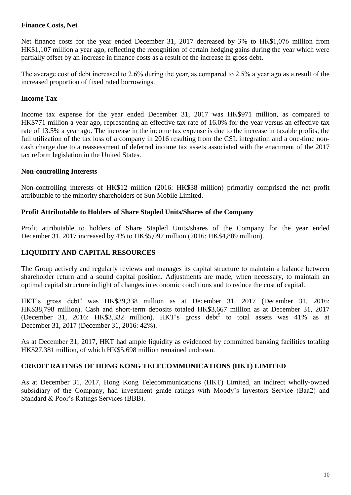#### **Finance Costs, Net**

Net finance costs for the year ended December 31, 2017 decreased by 3% to HK\$1,076 million from HK\$1,107 million a year ago, reflecting the recognition of certain hedging gains during the year which were partially offset by an increase in finance costs as a result of the increase in gross debt.

The average cost of debt increased to 2.6% during the year, as compared to 2.5% a year ago as a result of the increased proportion of fixed rated borrowings.

#### **Income Tax**

Income tax expense for the year ended December 31, 2017 was HK\$971 million, as compared to HK\$771 million a year ago, representing an effective tax rate of 16.0% for the year versus an effective tax rate of 13.5% a year ago. The increase in the income tax expense is due to the increase in taxable profits, the full utilization of the tax loss of a company in 2016 resulting from the CSL integration and a one-time noncash charge due to a reassessment of deferred income tax assets associated with the enactment of the 2017 tax reform legislation in the United States.

#### **Non-controlling Interests**

Non-controlling interests of HK\$12 million (2016: HK\$38 million) primarily comprised the net profit attributable to the minority shareholders of Sun Mobile Limited.

#### **Profit Attributable to Holders of Share Stapled Units/Shares of the Company**

Profit attributable to holders of Share Stapled Units/shares of the Company for the year ended December 31, 2017 increased by 4% to HK\$5,097 million (2016: HK\$4,889 million).

#### **LIQUIDITY AND CAPITAL RESOURCES**

The Group actively and regularly reviews and manages its capital structure to maintain a balance between shareholder return and a sound capital position. Adjustments are made, when necessary, to maintain an optimal capital structure in light of changes in economic conditions and to reduce the cost of capital.

HKT's gross debt<sup>5</sup> was HK\$39,338 million as at December 31, 2017 (December 31, 2016: HK\$38,798 million). Cash and short-term deposits totaled HK\$3,667 million as at December 31, 2017 (December 31, 2016: HK\$3,332 million). HKT's gross debt<sup>5</sup> to total assets was 41% as at December 31, 2017 (December 31, 2016: 42%).

As at December 31, 2017, HKT had ample liquidity as evidenced by committed banking facilities totaling HK\$27,381 million, of which HK\$5,698 million remained undrawn.

#### **CREDIT RATINGS OF HONG KONG TELECOMMUNICATIONS (HKT) LIMITED**

As at December 31, 2017, Hong Kong Telecommunications (HKT) Limited, an indirect wholly-owned subsidiary of the Company, had investment grade ratings with Moody's Investors Service (Baa2) and Standard & Poor's Ratings Services (BBB).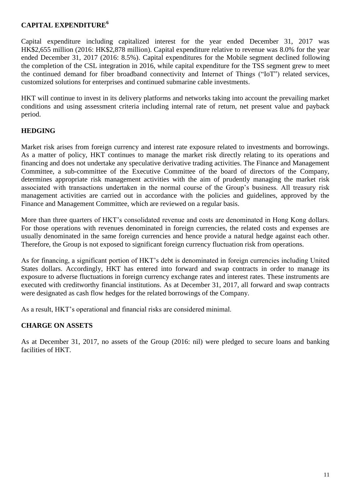#### **CAPITAL EXPENDITURE<sup>6</sup>**

Capital expenditure including capitalized interest for the year ended December 31, 2017 was HK\$2,655 million (2016: HK\$2,878 million). Capital expenditure relative to revenue was 8.0% for the year ended December 31, 2017 (2016: 8.5%). Capital expenditures for the Mobile segment declined following the completion of the CSL integration in 2016, while capital expenditure for the TSS segment grew to meet the continued demand for fiber broadband connectivity and Internet of Things ("IoT") related services, customized solutions for enterprises and continued submarine cable investments.

HKT will continue to invest in its delivery platforms and networks taking into account the prevailing market conditions and using assessment criteria including internal rate of return, net present value and payback period.

#### **HEDGING**

Market risk arises from foreign currency and interest rate exposure related to investments and borrowings. As a matter of policy, HKT continues to manage the market risk directly relating to its operations and financing and does not undertake any speculative derivative trading activities. The Finance and Management Committee, a sub-committee of the Executive Committee of the board of directors of the Company, determines appropriate risk management activities with the aim of prudently managing the market risk associated with transactions undertaken in the normal course of the Group's business. All treasury risk management activities are carried out in accordance with the policies and guidelines, approved by the Finance and Management Committee, which are reviewed on a regular basis.

More than three quarters of HKT's consolidated revenue and costs are denominated in Hong Kong dollars. For those operations with revenues denominated in foreign currencies, the related costs and expenses are usually denominated in the same foreign currencies and hence provide a natural hedge against each other. Therefore, the Group is not exposed to significant foreign currency fluctuation risk from operations.

As for financing, a significant portion of HKT's debt is denominated in foreign currencies including United States dollars. Accordingly, HKT has entered into forward and swap contracts in order to manage its exposure to adverse fluctuations in foreign currency exchange rates and interest rates. These instruments are executed with creditworthy financial institutions. As at December 31, 2017, all forward and swap contracts were designated as cash flow hedges for the related borrowings of the Company.

As a result, HKT's operational and financial risks are considered minimal.

#### **CHARGE ON ASSETS**

As at December 31, 2017, no assets of the Group (2016: nil) were pledged to secure loans and banking facilities of HKT.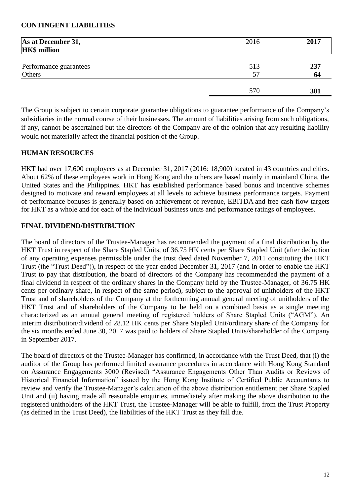#### **CONTINGENT LIABILITIES**

| As at December 31,<br><b>HK\$</b> million | 2016 | 2017 |
|-------------------------------------------|------|------|
| Performance guarantees                    | 513  | 237  |
| Others                                    | 57   | 64   |
|                                           | 570  | 301  |

The Group is subject to certain corporate guarantee obligations to guarantee performance of the Company's subsidiaries in the normal course of their businesses. The amount of liabilities arising from such obligations, if any, cannot be ascertained but the directors of the Company are of the opinion that any resulting liability would not materially affect the financial position of the Group.

#### **HUMAN RESOURCES**

HKT had over 17,600 employees as at December 31, 2017 (2016: 18,900) located in 43 countries and cities. About 62% of these employees work in Hong Kong and the others are based mainly in mainland China, the United States and the Philippines. HKT has established performance based bonus and incentive schemes designed to motivate and reward employees at all levels to achieve business performance targets. Payment of performance bonuses is generally based on achievement of revenue, EBITDA and free cash flow targets for HKT as a whole and for each of the individual business units and performance ratings of employees.

#### **FINAL DIVIDEND/DISTRIBUTION**

The board of directors of the Trustee-Manager has recommended the payment of a final distribution by the HKT Trust in respect of the Share Stapled Units, of 36.75 HK cents per Share Stapled Unit (after deduction of any operating expenses permissible under the trust deed dated November 7, 2011 constituting the HKT Trust (the "Trust Deed")), in respect of the year ended December 31, 2017 (and in order to enable the HKT Trust to pay that distribution, the board of directors of the Company has recommended the payment of a final dividend in respect of the ordinary shares in the Company held by the Trustee-Manager, of 36.75 HK cents per ordinary share, in respect of the same period), subject to the approval of unitholders of the HKT Trust and of shareholders of the Company at the forthcoming annual general meeting of unitholders of the HKT Trust and of shareholders of the Company to be held on a combined basis as a single meeting characterized as an annual general meeting of registered holders of Share Stapled Units ("AGM"). An interim distribution/dividend of 28.12 HK cents per Share Stapled Unit/ordinary share of the Company for the six months ended June 30, 2017 was paid to holders of Share Stapled Units/shareholder of the Company in September 2017.

The board of directors of the Trustee-Manager has confirmed, in accordance with the Trust Deed, that (i) the auditor of the Group has performed limited assurance procedures in accordance with Hong Kong Standard on Assurance Engagements 3000 (Revised) "Assurance Engagements Other Than Audits or Reviews of Historical Financial Information" issued by the Hong Kong Institute of Certified Public Accountants to review and verify the Trustee-Manager's calculation of the above distribution entitlement per Share Stapled Unit and (ii) having made all reasonable enquiries, immediately after making the above distribution to the registered unitholders of the HKT Trust, the Trustee-Manager will be able to fulfill, from the Trust Property (as defined in the Trust Deed), the liabilities of the HKT Trust as they fall due.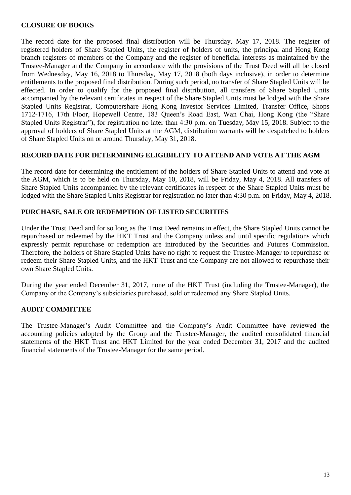#### **CLOSURE OF BOOKS**

The record date for the proposed final distribution will be Thursday, May 17, 2018. The register of registered holders of Share Stapled Units, the register of holders of units, the principal and Hong Kong branch registers of members of the Company and the register of beneficial interests as maintained by the Trustee-Manager and the Company in accordance with the provisions of the Trust Deed will all be closed from Wednesday, May 16, 2018 to Thursday, May 17, 2018 (both days inclusive), in order to determine entitlements to the proposed final distribution. During such period, no transfer of Share Stapled Units will be effected. In order to qualify for the proposed final distribution, all transfers of Share Stapled Units accompanied by the relevant certificates in respect of the Share Stapled Units must be lodged with the Share Stapled Units Registrar, Computershare Hong Kong Investor Services Limited, Transfer Office, Shops 1712-1716, 17th Floor, Hopewell Centre, 183 Queen's Road East, Wan Chai, Hong Kong (the "Share Stapled Units Registrar"), for registration no later than 4:30 p.m. on Tuesday, May 15, 2018. Subject to the approval of holders of Share Stapled Units at the AGM, distribution warrants will be despatched to holders of Share Stapled Units on or around Thursday, May 31, 2018.

#### **RECORD DATE FOR DETERMINING ELIGIBILITY TO ATTEND AND VOTE AT THE AGM**

The record date for determining the entitlement of the holders of Share Stapled Units to attend and vote at the AGM, which is to be held on Thursday, May 10, 2018, will be Friday, May 4, 2018. All transfers of Share Stapled Units accompanied by the relevant certificates in respect of the Share Stapled Units must be lodged with the Share Stapled Units Registrar for registration no later than 4:30 p.m. on Friday, May 4, 2018.

#### **PURCHASE, SALE OR REDEMPTION OF LISTED SECURITIES**

Under the Trust Deed and for so long as the Trust Deed remains in effect, the Share Stapled Units cannot be repurchased or redeemed by the HKT Trust and the Company unless and until specific regulations which expressly permit repurchase or redemption are introduced by the Securities and Futures Commission. Therefore, the holders of Share Stapled Units have no right to request the Trustee-Manager to repurchase or redeem their Share Stapled Units, and the HKT Trust and the Company are not allowed to repurchase their own Share Stapled Units.

During the year ended December 31, 2017, none of the HKT Trust (including the Trustee-Manager), the Company or the Company's subsidiaries purchased, sold or redeemed any Share Stapled Units.

#### **AUDIT COMMITTEE**

The Trustee-Manager's Audit Committee and the Company's Audit Committee have reviewed the accounting policies adopted by the Group and the Trustee-Manager, the audited consolidated financial statements of the HKT Trust and HKT Limited for the year ended December 31, 2017 and the audited financial statements of the Trustee-Manager for the same period.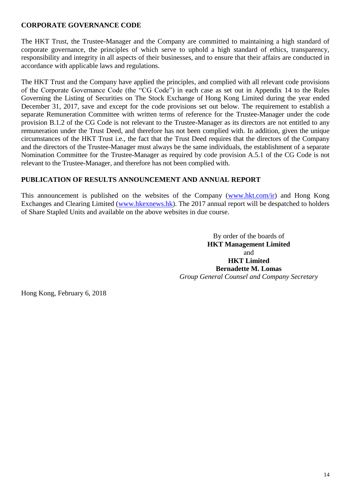#### **CORPORATE GOVERNANCE CODE**

The HKT Trust, the Trustee-Manager and the Company are committed to maintaining a high standard of corporate governance, the principles of which serve to uphold a high standard of ethics, transparency, responsibility and integrity in all aspects of their businesses, and to ensure that their affairs are conducted in accordance with applicable laws and regulations.

The HKT Trust and the Company have applied the principles, and complied with all relevant code provisions of the Corporate Governance Code (the "CG Code") in each case as set out in Appendix 14 to the Rules Governing the Listing of Securities on The Stock Exchange of Hong Kong Limited during the year ended December 31, 2017, save and except for the code provisions set out below. The requirement to establish a separate Remuneration Committee with written terms of reference for the Trustee-Manager under the code provision B.1.2 of the CG Code is not relevant to the Trustee-Manager as its directors are not entitled to any remuneration under the Trust Deed, and therefore has not been complied with. In addition, given the unique circumstances of the HKT Trust i.e., the fact that the Trust Deed requires that the directors of the Company and the directors of the Trustee-Manager must always be the same individuals, the establishment of a separate Nomination Committee for the Trustee-Manager as required by code provision A.5.1 of the CG Code is not relevant to the Trustee-Manager, and therefore has not been complied with.

#### **PUBLICATION OF RESULTS ANNOUNCEMENT AND ANNUAL REPORT**

This announcement is published on the websites of the Company [\(www.hkt.com/ir\)](http://www.hkt.com/ir) and Hong Kong Exchanges and Clearing Limited [\(www.hkexnews.hk\)](http://www.hkexnews.hk/). The 2017 annual report will be despatched to holders of Share Stapled Units and available on the above websites in due course.

> By order of the boards of **HKT Management Limited** and **HKT Limited Bernadette M. Lomas** *Group General Counsel and Company Secretary*

Hong Kong, February 6, 2018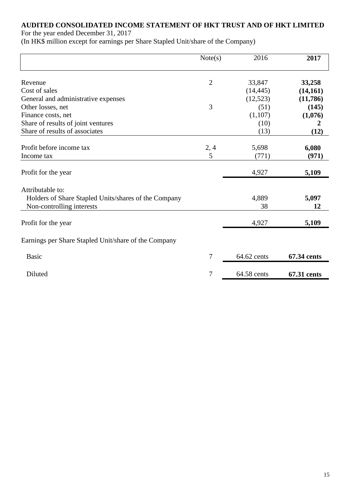## **AUDITED CONSOLIDATED INCOME STATEMENT OF HKT TRUST AND OF HKT LIMITED**

For the year ended December 31, 2017

(In HK\$ million except for earnings per Share Stapled Unit/share of the Company)

|                                                                                                       | Note(s)        | 2016        | 2017        |
|-------------------------------------------------------------------------------------------------------|----------------|-------------|-------------|
| Revenue                                                                                               | $\overline{2}$ | 33,847      | 33,258      |
| Cost of sales                                                                                         |                | (14, 445)   | (14, 161)   |
| General and administrative expenses                                                                   |                | (12, 523)   | (11,786)    |
| Other losses, net                                                                                     | 3              | (51)        | (145)       |
| Finance costs, net                                                                                    |                | (1,107)     | (1,076)     |
| Share of results of joint ventures                                                                    |                | (10)        |             |
| Share of results of associates                                                                        |                | (13)        | (12)        |
| Profit before income tax                                                                              | 2, 4           | 5,698       | 6,080       |
| Income tax                                                                                            | 5              | (771)       | (971)       |
| Profit for the year                                                                                   |                | 4,927       | 5,109       |
| Attributable to:<br>Holders of Share Stapled Units/shares of the Company<br>Non-controlling interests |                | 4,889<br>38 | 5,097<br>12 |
| Profit for the year                                                                                   |                | 4,927       | 5,109       |
| Earnings per Share Stapled Unit/share of the Company                                                  |                |             |             |
| <b>Basic</b>                                                                                          | 7              | 64.62 cents | 67.34 cents |
| Diluted                                                                                               | 7              | 64.58 cents | 67.31 cents |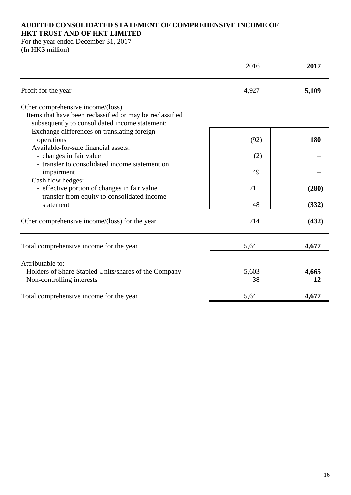#### **AUDITED CONSOLIDATED STATEMENT OF COMPREHENSIVE INCOME OF HKT TRUST AND OF HKT LIMITED**

For the year ended December 31, 2017 (In HK\$ million)

| 2016  | 2017  |
|-------|-------|
| 4,927 | 5,109 |
|       |       |
| (92)  | 180   |
| (2)   |       |
| 49    |       |
| 711   | (280) |
| 48    | (332) |
| 714   | (432) |
| 5,641 | 4,677 |
|       |       |
| 5,603 | 4,665 |
| 38    | 12    |
| 5,641 | 4,677 |
|       |       |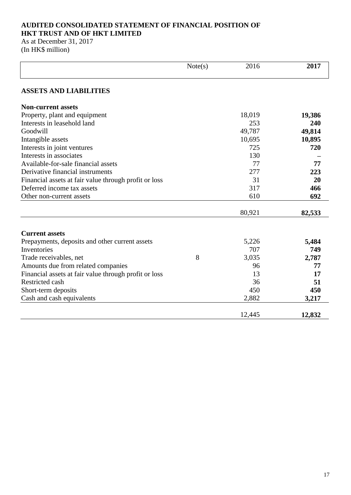#### **AUDITED CONSOLIDATED STATEMENT OF FINANCIAL POSITION OF HKT TRUST AND OF HKT LIMITED**

As at December 31, 2017 (In HK\$ million)

|                                                       | Note(s) | 2016   | 2017   |
|-------------------------------------------------------|---------|--------|--------|
| <b>ASSETS AND LIABILITIES</b>                         |         |        |        |
| <b>Non-current assets</b>                             |         |        |        |
| Property, plant and equipment                         |         | 18,019 | 19,386 |
| Interests in leasehold land                           |         | 253    | 240    |
| Goodwill                                              |         | 49,787 | 49,814 |
| Intangible assets                                     |         | 10,695 | 10,895 |
| Interests in joint ventures                           |         | 725    | 720    |
| Interests in associates                               |         | 130    |        |
| Available-for-sale financial assets                   |         | 77     | 77     |
| Derivative financial instruments                      |         | 277    | 223    |
| Financial assets at fair value through profit or loss |         | 31     | 20     |
| Deferred income tax assets                            |         | 317    | 466    |
| Other non-current assets                              |         | 610    | 692    |
|                                                       |         | 80,921 | 82,533 |
| <b>Current assets</b>                                 |         |        |        |
| Prepayments, deposits and other current assets        |         | 5,226  | 5,484  |
| Inventories                                           |         | 707    | 749    |
| Trade receivables, net                                | 8       | 3,035  | 2,787  |
| Amounts due from related companies                    |         | 96     | 77     |
| Financial assets at fair value through profit or loss |         | 13     | 17     |
| Restricted cash                                       |         | 36     | 51     |
| Short-term deposits                                   |         | 450    | 450    |
| Cash and cash equivalents                             |         | 2,882  | 3,217  |
|                                                       |         | 12,445 | 12,832 |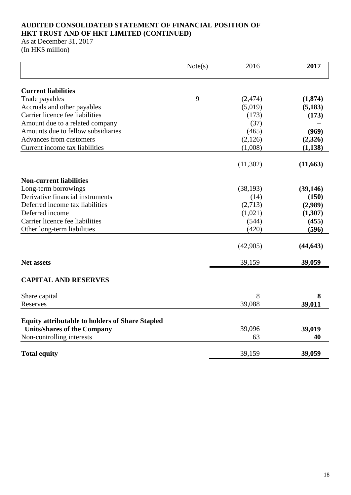#### **AUDITED CONSOLIDATED STATEMENT OF FINANCIAL POSITION OF HKT TRUST AND OF HKT LIMITED (CONTINUED)**

As at December 31, 2017 (In HK\$ million)

|                                                        | Note(s) | 2016      | 2017      |
|--------------------------------------------------------|---------|-----------|-----------|
| <b>Current liabilities</b>                             |         |           |           |
| Trade payables                                         | 9       | (2, 474)  | (1,874)   |
| Accruals and other payables                            |         | (5,019)   | (5,183)   |
| Carrier licence fee liabilities                        |         | (173)     | (173)     |
| Amount due to a related company                        |         | (37)      |           |
| Amounts due to fellow subsidiaries                     |         | (465)     | (969)     |
| Advances from customers                                |         | (2,126)   | (2,326)   |
| Current income tax liabilities                         |         | (1,008)   | (1, 138)  |
|                                                        |         | (11,302)  | (11, 663) |
| <b>Non-current liabilities</b>                         |         |           |           |
| Long-term borrowings                                   |         | (38, 193) | (39, 146) |
| Derivative financial instruments                       |         | (14)      | (150)     |
| Deferred income tax liabilities                        |         | (2,713)   | (2,989)   |
| Deferred income                                        |         | (1,021)   | (1,307)   |
| Carrier licence fee liabilities                        |         | (544)     | (455)     |
| Other long-term liabilities                            |         | (420)     | (596)     |
|                                                        |         | (42,905)  | (44, 643) |
| <b>Net assets</b>                                      |         | 39,159    | 39,059    |
| <b>CAPITAL AND RESERVES</b>                            |         |           |           |
| Share capital                                          |         | 8         | 8         |
| Reserves                                               |         | 39,088    | 39,011    |
| <b>Equity attributable to holders of Share Stapled</b> |         |           |           |
| <b>Units/shares of the Company</b>                     |         | 39,096    | 39,019    |
| Non-controlling interests                              |         | 63        | 40        |
| <b>Total equity</b>                                    |         | 39,159    | 39,059    |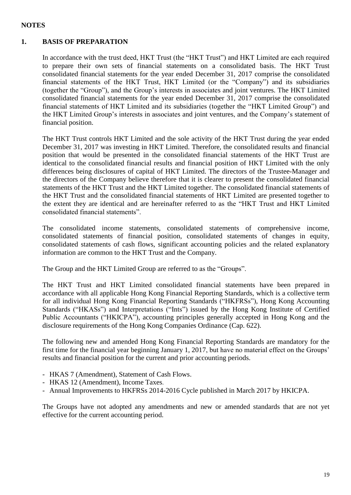#### **NOTES**

#### **1. BASIS OF PREPARATION**

In accordance with the trust deed, HKT Trust (the "HKT Trust") and HKT Limited are each required to prepare their own sets of financial statements on a consolidated basis. The HKT Trust consolidated financial statements for the year ended December 31, 2017 comprise the consolidated financial statements of the HKT Trust, HKT Limited (or the "Company") and its subsidiaries (together the "Group"), and the Group's interests in associates and joint ventures. The HKT Limited consolidated financial statements for the year ended December 31, 2017 comprise the consolidated financial statements of HKT Limited and its subsidiaries (together the "HKT Limited Group") and the HKT Limited Group's interests in associates and joint ventures, and the Company's statement of financial position.

The HKT Trust controls HKT Limited and the sole activity of the HKT Trust during the year ended December 31, 2017 was investing in HKT Limited. Therefore, the consolidated results and financial position that would be presented in the consolidated financial statements of the HKT Trust are identical to the consolidated financial results and financial position of HKT Limited with the only differences being disclosures of capital of HKT Limited. The directors of the Trustee-Manager and the directors of the Company believe therefore that it is clearer to present the consolidated financial statements of the HKT Trust and the HKT Limited together. The consolidated financial statements of the HKT Trust and the consolidated financial statements of HKT Limited are presented together to the extent they are identical and are hereinafter referred to as the "HKT Trust and HKT Limited consolidated financial statements".

The consolidated income statements, consolidated statements of comprehensive income, consolidated statements of financial position, consolidated statements of changes in equity, consolidated statements of cash flows, significant accounting policies and the related explanatory information are common to the HKT Trust and the Company.

The Group and the HKT Limited Group are referred to as the "Groups".

The HKT Trust and HKT Limited consolidated financial statements have been prepared in accordance with all applicable Hong Kong Financial Reporting Standards, which is a collective term for all individual Hong Kong Financial Reporting Standards ("HKFRSs"), Hong Kong Accounting Standards ("HKASs") and Interpretations ("Ints") issued by the Hong Kong Institute of Certified Public Accountants ("HKICPA"), accounting principles generally accepted in Hong Kong and the disclosure requirements of the Hong Kong Companies Ordinance (Cap. 622).

The following new and amended Hong Kong Financial Reporting Standards are mandatory for the first time for the financial year beginning January 1, 2017, but have no material effect on the Groups' results and financial position for the current and prior accounting periods.

- HKAS 7 (Amendment), Statement of Cash Flows.
- HKAS 12 (Amendment), Income Taxes.
- Annual Improvements to HKFRSs 2014-2016 Cycle published in March 2017 by HKICPA.

The Groups have not adopted any amendments and new or amended standards that are not yet effective for the current accounting period.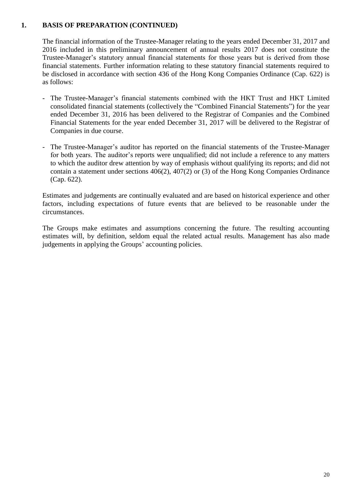#### **1. BASIS OF PREPARATION (CONTINUED)**

The financial information of the Trustee-Manager relating to the years ended December 31, 2017 and 2016 included in this preliminary announcement of annual results 2017 does not constitute the Trustee-Manager's statutory annual financial statements for those years but is derived from those financial statements. Further information relating to these statutory financial statements required to be disclosed in accordance with section 436 of the Hong Kong Companies Ordinance (Cap. 622) is as follows:

- The Trustee-Manager's financial statements combined with the HKT Trust and HKT Limited consolidated financial statements (collectively the "Combined Financial Statements") for the year ended December 31, 2016 has been delivered to the Registrar of Companies and the Combined Financial Statements for the year ended December 31, 2017 will be delivered to the Registrar of Companies in due course.
- The Trustee-Manager's auditor has reported on the financial statements of the Trustee-Manager for both years. The auditor's reports were unqualified; did not include a reference to any matters to which the auditor drew attention by way of emphasis without qualifying its reports; and did not contain a statement under sections 406(2), 407(2) or (3) of the Hong Kong Companies Ordinance (Cap. 622).

Estimates and judgements are continually evaluated and are based on historical experience and other factors, including expectations of future events that are believed to be reasonable under the circumstances.

The Groups make estimates and assumptions concerning the future. The resulting accounting estimates will, by definition, seldom equal the related actual results. Management has also made judgements in applying the Groups' accounting policies.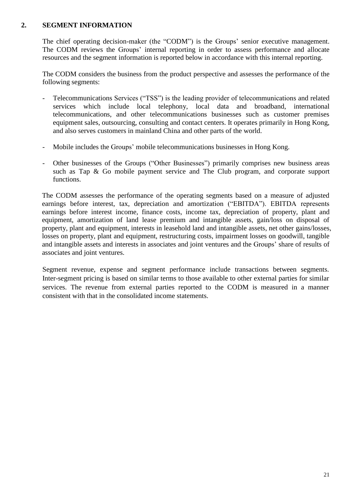#### **2. SEGMENT INFORMATION**

The chief operating decision-maker (the "CODM") is the Groups' senior executive management. The CODM reviews the Groups' internal reporting in order to assess performance and allocate resources and the segment information is reported below in accordance with this internal reporting.

The CODM considers the business from the product perspective and assesses the performance of the following segments:

- Telecommunications Services ("TSS") is the leading provider of telecommunications and related services which include local telephony, local data and broadband, international telecommunications, and other telecommunications businesses such as customer premises equipment sales, outsourcing, consulting and contact centers. It operates primarily in Hong Kong, and also serves customers in mainland China and other parts of the world.
- Mobile includes the Groups' mobile telecommunications businesses in Hong Kong.
- Other businesses of the Groups ("Other Businesses") primarily comprises new business areas such as Tap & Go mobile payment service and The Club program, and corporate support functions.

The CODM assesses the performance of the operating segments based on a measure of adjusted earnings before interest, tax, depreciation and amortization ("EBITDA"). EBITDA represents earnings before interest income, finance costs, income tax, depreciation of property, plant and equipment, amortization of land lease premium and intangible assets, gain/loss on disposal of property, plant and equipment, interests in leasehold land and intangible assets, net other gains/losses, losses on property, plant and equipment, restructuring costs, impairment losses on goodwill, tangible and intangible assets and interests in associates and joint ventures and the Groups' share of results of associates and joint ventures.

Segment revenue, expense and segment performance include transactions between segments. Inter-segment pricing is based on similar terms to those available to other external parties for similar services. The revenue from external parties reported to the CODM is measured in a manner consistent with that in the consolidated income statements.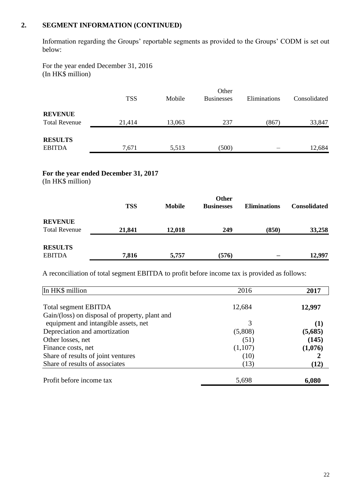#### **2. SEGMENT INFORMATION (CONTINUED)**

Information regarding the Groups' reportable segments as provided to the Groups' CODM is set out below:

For the year ended December 31, 2016 (In HK\$ million)

|                      |            |        | Other             |              |              |
|----------------------|------------|--------|-------------------|--------------|--------------|
|                      | <b>TSS</b> | Mobile | <b>Businesses</b> | Eliminations | Consolidated |
|                      |            |        |                   |              |              |
| <b>REVENUE</b>       |            |        |                   |              |              |
| <b>Total Revenue</b> | 21,414     | 13,063 | 237               | (867)        | 33,847       |
|                      |            |        |                   |              |              |
| <b>RESULTS</b>       |            |        |                   |              |              |
| <b>EBITDA</b>        | 7,671      | 5,513  | (500)             |              | 12,684       |

### **For the year ended December 31, 2017**

(In HK\$ million)

|                      |            |               | Other             |                     |                     |
|----------------------|------------|---------------|-------------------|---------------------|---------------------|
|                      | <b>TSS</b> | <b>Mobile</b> | <b>Businesses</b> | <b>Eliminations</b> | <b>Consolidated</b> |
| <b>REVENUE</b>       |            |               |                   |                     |                     |
| <b>Total Revenue</b> | 21,841     | 12,018        | 249               | (850)               | 33,258              |
| <b>RESULTS</b>       |            |               |                   |                     |                     |
| <b>EBITDA</b>        | 7,816      | 5,757         | (576)             |                     | 12,997              |

A reconciliation of total segment EBITDA to profit before income tax is provided as follows:

| In HK\$ million                                | 2016    | 2017     |
|------------------------------------------------|---------|----------|
| <b>Total segment EBITDA</b>                    | 12,684  | 12,997   |
| Gain/(loss) on disposal of property, plant and |         |          |
| equipment and intangible assets, net           | 3       | $\bf(1)$ |
| Depreciation and amortization                  | (5,808) | (5,685)  |
| Other losses, net                              | (51)    | (145)    |
| Finance costs, net                             | (1,107) | (1,076)  |
| Share of results of joint ventures             | (10)    |          |
| Share of results of associates                 | (13)    | (12)     |
| Profit before income tax                       | 5,698   | 6,080    |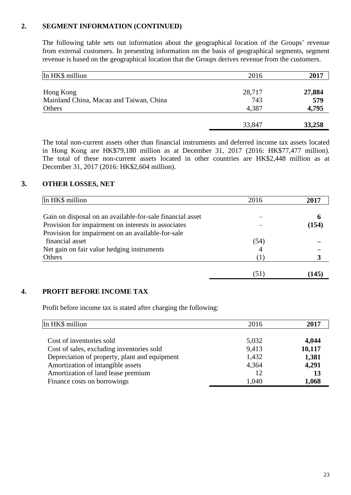#### **2. SEGMENT INFORMATION (CONTINUED)**

The following table sets out information about the geographical location of the Groups' revenue from external customers. In presenting information on the basis of geographical segments, segment revenue is based on the geographical location that the Groups derives revenue from the customers.

| In HK\$ million                         | 2016   | 2017   |
|-----------------------------------------|--------|--------|
| Hong Kong                               | 28,717 | 27,884 |
| Mainland China, Macau and Taiwan, China | 743    | 579    |
| Others                                  | 4,387  | 4,795  |
|                                         | 33,847 | 33,258 |

The total non-current assets other than financial instruments and deferred income tax assets located in Hong Kong are HK\$79,180 million as at December 31, 2017 (2016: HK\$77,477 million). The total of these non-current assets located in other countries are HK\$2,448 million as at December 31, 2017 (2016: HK\$2,604 million).

#### **3. OTHER LOSSES, NET**

| In HK\$ million                                           | 2016 | 2017  |
|-----------------------------------------------------------|------|-------|
| Gain on disposal on an available-for-sale financial asset |      | h     |
| Provision for impairment on interests in associates       |      | (154) |
| Provision for impairment on an available-for-sale         |      |       |
| financial asset                                           | (54) |       |
| Net gain on fair value hedging instruments                |      |       |
| Others                                                    |      |       |
|                                                           | (51) | 145   |

#### **4. PROFIT BEFORE INCOME TAX**

Profit before income tax is stated after charging the following:

| In HK\$ million                               | 2016  | 2017   |
|-----------------------------------------------|-------|--------|
| Cost of inventories sold                      | 5,032 | 4,044  |
| Cost of sales, excluding inventories sold     | 9,413 | 10,117 |
| Depreciation of property, plant and equipment | 1,432 | 1,381  |
| Amortization of intangible assets             | 4,364 | 4,291  |
| Amortization of land lease premium            | 12    | 13     |
| Finance costs on borrowings                   | 1,040 | 1,068  |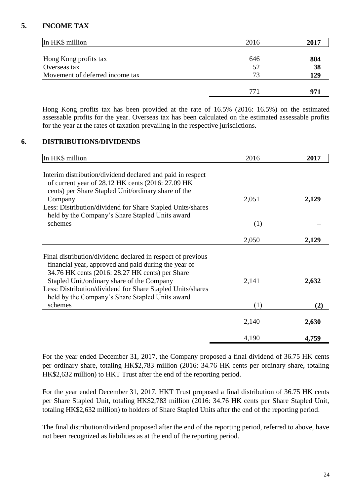#### **5. INCOME TAX**

| In HK\$ million                 | 2016 | 2017 |
|---------------------------------|------|------|
|                                 |      |      |
| Hong Kong profits tax           | 646  | 804  |
| Overseas tax                    | 52   | 38   |
| Movement of deferred income tax | 73   | 129  |
|                                 |      |      |
|                                 | 771  |      |

Hong Kong profits tax has been provided at the rate of 16.5% (2016: 16.5%) on the estimated assessable profits for the year. Overseas tax has been calculated on the estimated assessable profits for the year at the rates of taxation prevailing in the respective jurisdictions.

#### **6. DISTRIBUTIONS/DIVIDENDS**

| In HK\$ million                                                                                                                                                                                                                                                                                                                                  | 2016         | 2017         |
|--------------------------------------------------------------------------------------------------------------------------------------------------------------------------------------------------------------------------------------------------------------------------------------------------------------------------------------------------|--------------|--------------|
| Interim distribution/dividend declared and paid in respect<br>of current year of 28.12 HK cents (2016: 27.09 HK)<br>cents) per Share Stapled Unit/ordinary share of the<br>Company<br>Less: Distribution/dividend for Share Stapled Units/shares<br>held by the Company's Share Stapled Units award<br>schemes                                   | 2,051<br>(1) | 2,129        |
|                                                                                                                                                                                                                                                                                                                                                  | 2,050        | 2,129        |
| Final distribution/dividend declared in respect of previous<br>financial year, approved and paid during the year of<br>34.76 HK cents (2016: 28.27 HK cents) per Share<br>Stapled Unit/ordinary share of the Company<br>Less: Distribution/dividend for Share Stapled Units/shares<br>held by the Company's Share Stapled Units award<br>schemes | 2,141<br>(1) | 2,632<br>(2) |
|                                                                                                                                                                                                                                                                                                                                                  |              |              |
|                                                                                                                                                                                                                                                                                                                                                  | 2,140        | 2,630        |
|                                                                                                                                                                                                                                                                                                                                                  | 4,190        | 4,759        |

For the year ended December 31, 2017, the Company proposed a final dividend of 36.75 HK cents per ordinary share, totaling HK\$2,783 million (2016: 34.76 HK cents per ordinary share, totaling HK\$2,632 million) to HKT Trust after the end of the reporting period.

For the year ended December 31, 2017, HKT Trust proposed a final distribution of 36.75 HK cents per Share Stapled Unit, totaling HK\$2,783 million (2016: 34.76 HK cents per Share Stapled Unit, totaling HK\$2,632 million) to holders of Share Stapled Units after the end of the reporting period.

The final distribution/dividend proposed after the end of the reporting period, referred to above, have not been recognized as liabilities as at the end of the reporting period.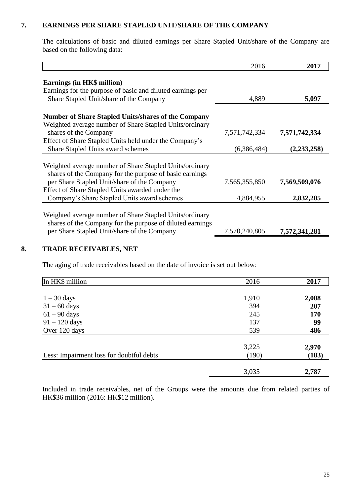#### **7. EARNINGS PER SHARE STAPLED UNIT/SHARE OF THE COMPANY**

The calculations of basic and diluted earnings per Share Stapled Unit/share of the Company are based on the following data:

|                                                                                                                                     | 2016          | 2017          |
|-------------------------------------------------------------------------------------------------------------------------------------|---------------|---------------|
| Earnings (in HK\$ million)<br>Earnings for the purpose of basic and diluted earnings per<br>Share Stapled Unit/share of the Company | 4,889         | 5,097         |
|                                                                                                                                     |               |               |
| <b>Number of Share Stapled Units/shares of the Company</b><br>Weighted average number of Share Stapled Units/ordinary               |               |               |
| shares of the Company                                                                                                               | 7,571,742,334 | 7,571,742,334 |
| Effect of Share Stapled Units held under the Company's                                                                              |               |               |
| Share Stapled Units award schemes                                                                                                   | (6,386,484)   | (2,233,258)   |
|                                                                                                                                     |               |               |
| Weighted average number of Share Stapled Units/ordinary                                                                             |               |               |
| shares of the Company for the purpose of basic earnings                                                                             |               |               |
| per Share Stapled Unit/share of the Company                                                                                         | 7,565,355,850 | 7,569,509,076 |
| Effect of Share Stapled Units awarded under the                                                                                     |               |               |
| Company's Share Stapled Units award schemes                                                                                         | 4,884,955     | 2,832,205     |
|                                                                                                                                     |               |               |
| Weighted average number of Share Stapled Units/ordinary                                                                             |               |               |
| shares of the Company for the purpose of diluted earnings<br>per Share Stapled Unit/share of the Company                            | 7,570,240,805 | 7,572,341,281 |
|                                                                                                                                     |               |               |

#### **8. TRADE RECEIVABLES, NET**

The aging of trade receivables based on the date of invoice is set out below:

| In HK\$ million                          | 2016  | 2017  |
|------------------------------------------|-------|-------|
|                                          |       |       |
| $1 - 30$ days                            | 1,910 | 2,008 |
| $31 - 60$ days                           | 394   | 207   |
| $61 - 90$ days                           | 245   | 170   |
| $91 - 120$ days                          | 137   | 99    |
| Over 120 days                            | 539   | 486   |
|                                          | 3,225 | 2,970 |
| Less: Impairment loss for doubtful debts | (190) | (183) |
|                                          | 3,035 | 2,787 |

Included in trade receivables, net of the Groups were the amounts due from related parties of HK\$36 million (2016: HK\$12 million).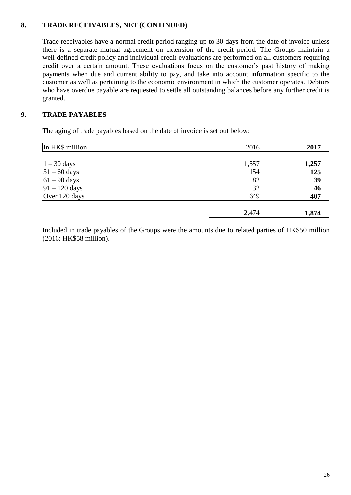#### **8. TRADE RECEIVABLES, NET (CONTINUED)**

Trade receivables have a normal credit period ranging up to 30 days from the date of invoice unless there is a separate mutual agreement on extension of the credit period. The Groups maintain a well-defined credit policy and individual credit evaluations are performed on all customers requiring credit over a certain amount. These evaluations focus on the customer's past history of making payments when due and current ability to pay, and take into account information specific to the customer as well as pertaining to the economic environment in which the customer operates. Debtors who have overdue payable are requested to settle all outstanding balances before any further credit is granted.

#### **9. TRADE PAYABLES**

The aging of trade payables based on the date of invoice is set out below:

| In HK\$ million | 2016  | 2017  |
|-----------------|-------|-------|
|                 |       |       |
| $1 - 30$ days   | 1,557 | 1,257 |
| $31 - 60$ days  | 154   | 125   |
| $61 - 90$ days  | 82    | 39    |
| $91 - 120$ days | 32    | 46    |
| Over 120 days   | 649   | 407   |
|                 | 2,474 | 1,874 |

Included in trade payables of the Groups were the amounts due to related parties of HK\$50 million (2016: HK\$58 million).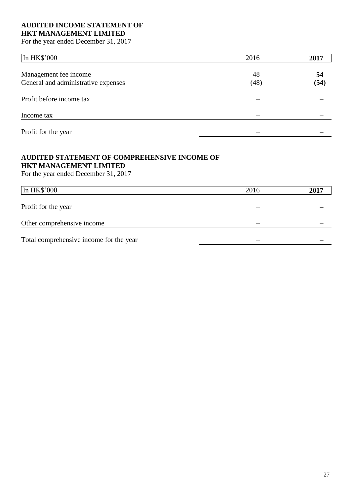#### **AUDITED INCOME STATEMENT OF HKT MANAGEMENT LIMITED**

For the year ended December 31, 2017

| In HK\$'000                         | 2016 | 2017 |
|-------------------------------------|------|------|
|                                     |      |      |
| Management fee income               | 48   | 54   |
| General and administrative expenses | (48) | (54) |
| Profit before income tax            |      |      |
| Income tax                          |      |      |
| Profit for the year                 |      |      |

#### **AUDITED STATEMENT OF COMPREHENSIVE INCOME OF HKT MANAGEMENT LIMITED**

For the year ended December 31, 2017

| In HK\$'000                             | 2016 | 2017 |
|-----------------------------------------|------|------|
| Profit for the year                     |      |      |
| Other comprehensive income              |      |      |
| Total comprehensive income for the year |      |      |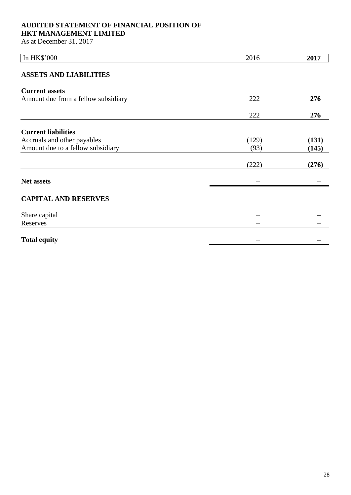## **AUDITED STATEMENT OF FINANCIAL POSITION OF**

### **HKT MANAGEMENT LIMITED**

As at December 31, 2017

| In HK\$'000                         | 2016  | 2017  |
|-------------------------------------|-------|-------|
| <b>ASSETS AND LIABILITIES</b>       |       |       |
| <b>Current assets</b>               |       |       |
| Amount due from a fellow subsidiary | 222   | 276   |
|                                     | 222   | 276   |
| <b>Current liabilities</b>          |       |       |
| Accruals and other payables         | (129) | (131) |
| Amount due to a fellow subsidiary   | (93)  | (145) |
|                                     | (222) | (276) |
| <b>Net assets</b>                   |       |       |
| <b>CAPITAL AND RESERVES</b>         |       |       |
| Share capital                       |       |       |
| Reserves                            |       |       |
| <b>Total equity</b>                 |       |       |